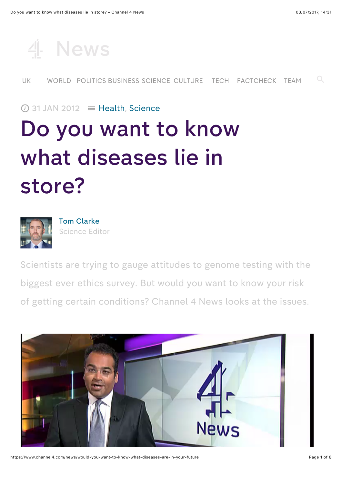

## $\oslash$  31 JAN 2012  $\equiv$  H[ealth](https://www.channel4.com/news/health), S[cience](https://www.channel4.com/news/science)

# <sup>D</sup><sup>o</sup> you want to know what diseases lie in store?



<sup>T</sup>om <sup>C</sup>larke <sup>S</sup>[cience](https://www.channel4.com/news/by/tom-clarke) <sup>E</sup>ditor

<sup>S</sup>cientists are trying to gauge attitudes to genome testing with the biggest ever ethics survey. <sup>B</sup>ut would you want to know your risk of getting certain conditions? <sup>C</sup>hannel <sup>4</sup> <sup>N</sup>ews looks at the issues.

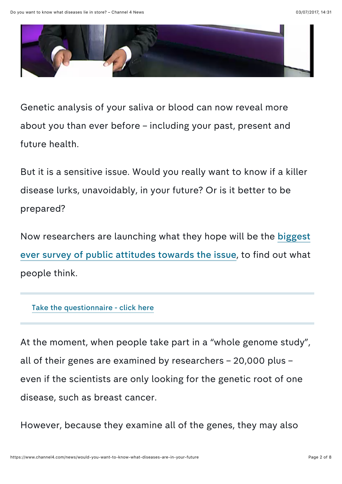

<sup>G</sup>enetic analysis of your saliva <sup>o</sup><sup>r</sup> blood can now reveal more about you than ever before – including your past, present and future health.

<sup>B</sup>ut it is <sup>a</sup> sensitive issue. <sup>W</sup>ould you really want to know if <sup>a</sup> killer disease lurks, unavoidably, in your future? <sup>O</sup><sup>r</sup> is it better to be prepared?

<sup>N</sup>ow researchers are launching what they hope will be the biggest ever survey of public attitudes [towards](http://www.sanger.ac.uk/about/press/2012/120131.html) the issue, to find out what people think.

#### <sup>T</sup>ake the [questionnaire](http://www.genomethics.org/) - click here

<sup>A</sup><sup>t</sup> the moment, when people take part in <sup>a</sup> "whole genome study", all of their genes are examined by researchers – 20,000 plus – even if the scientists are only looking for the genetic root of one disease, such as breast cancer.

<sup>H</sup>owever, because they examine all of the genes, they may also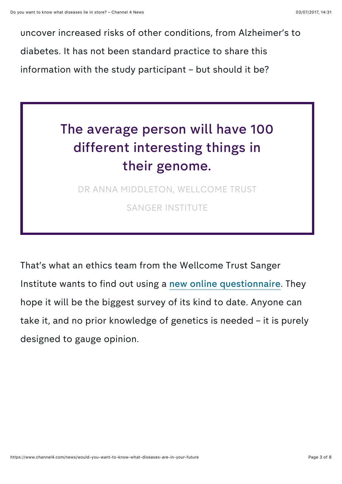uncover increased risks of other conditions, from <sup>A</sup>lzheimer'<sup>s</sup> to diabetes. <sup>I</sup><sup>t</sup> has not been standard practice to share this information with the study participant – but should it be?

# <sup>T</sup>he average person will have <sup>100</sup> different interesting things in their genome.

DR ANNA MIDDLETON, WELLCOME TRUST SANGER INSTITUTE

<sup>T</sup>hat'<sup>s</sup> what an ethics team from the <sup>W</sup>ellcome <sup>T</sup>rust <sup>S</sup>anger <sup>I</sup>nstitute wants to find out using <sup>a</sup> new <sup>o</sup>nline [questionnaire](http://www.genomethics.org/). <sup>T</sup>hey hope it will be the biggest survey of its kind to date. <sup>A</sup>nyone can take it, and no prior knowledge of genetics is needed – it is purely designed to gauge opinion.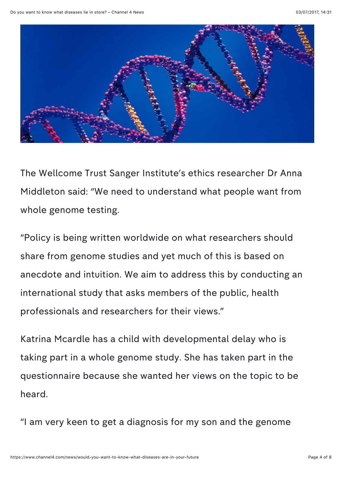

<sup>T</sup>he <sup>W</sup>ellcome <sup>T</sup>rust <sup>S</sup>anger <sup>I</sup>nstitute'<sup>s</sup> ethics researcher <sup>D</sup><sup>r</sup> <sup>A</sup>nna <sup>M</sup>iddleton said: "W<sup>e</sup> need to understand what people want from whole genome testing.

"Policy is being written worldwide on what researchers should share from genome studies and yet much of this is based on anecdote and intuition. <sup>W</sup><sup>e</sup> aim to address this by conducting an international study that asks members of the public, health professionals and researchers for their views."

<sup>K</sup>atrina <sup>M</sup>cardle has <sup>a</sup> child with developmental delay who is taking part in <sup>a</sup> whole genome study. <sup>S</sup>he has taken part in the questionnaire because she wanted her views on the topic to be heard.

"<sup>I</sup> am very keen to get <sup>a</sup> diagnosis for my son and the genome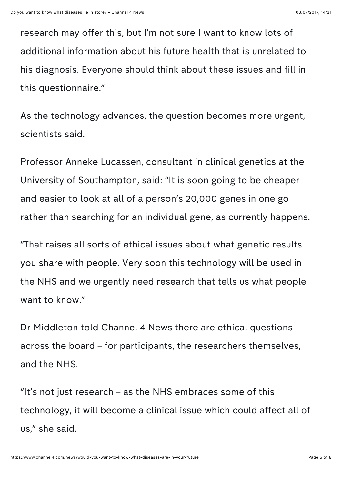research may offer this, but <sup>I</sup>'<sup>m</sup> not sure <sup>I</sup> want to know lots of additional information about his future health that is unrelated to his diagnosis. <sup>E</sup>veryone should think about these issues and fill in this questionnaire."

<sup>A</sup><sup>s</sup> the technology advances, the question becomes more urgent, scientists said.

<sup>P</sup>rofessor <sup>A</sup>nneke <sup>L</sup>ucassen, consultant in clinical genetics at the <sup>U</sup>niversity of <sup>S</sup>outhampton, said: "I<sup>t</sup> is soon going to be cheaper and easier to look at all of a person's 20,000 genes in one go rather than searching for an individual gene, as currently happens.

"That raises all sorts <sup>o</sup><sup>f</sup> ethical issues about what genetic results you share with people. <sup>V</sup>ery soon this technology will be used in the NHS and we urgently need research that tells us what people want to know."

<sup>D</sup><sup>r</sup> <sup>M</sup>iddleton told <sup>C</sup>hannel <sup>4</sup> <sup>N</sup>ews there are ethical questions across the board – for participants, the researchers themselves, and the NHS.

"It'<sup>s</sup> not just research – as the NHS embraces some of this technology, it will become a clinical issue which could affect all of us," she said.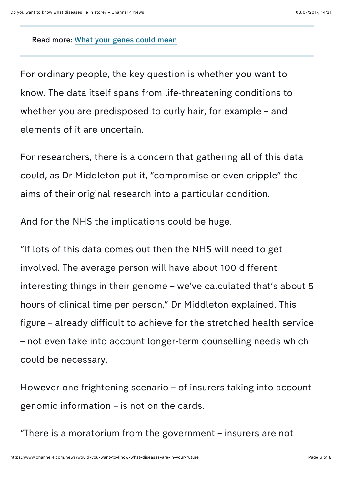<sup>R</sup>ead more: <sup>W</sup>hat your genes [could](http://www.channel4.com/news/what-your-genes-could-mean) mean

<sup>F</sup>or ordinary people, the key question is whether you want to know. <sup>T</sup>he data itself spans from life-threatening conditions to whether you are predisposed to curly hair, for example – and elements of it are uncertain.

<sup>F</sup>or researchers, there is <sup>a</sup> concern that gathering all of this data could, as <sup>D</sup><sup>r</sup> <sup>M</sup>iddleton put it, "compromise <sup>o</sup><sup>r</sup> even cripple" the aims of their original research into a particular condition.

<sup>A</sup>nd for the NHS the implications could be huge.

"I<sup>f</sup> lots <sup>o</sup><sup>f</sup> this data comes out then the NHS will need to get involved. <sup>T</sup>he average person will have about <sup>100</sup> different interesting things in their genome – we've calculated that's about 5 hours of clinical time per person," <sup>D</sup><sup>r</sup> <sup>M</sup>iddleton explained. <sup>T</sup>his figure – already difficult to achieve for the stretched health service – not even take into account longer-term counselling needs which could be necessary.

<sup>H</sup>owever one frightening scenario – <sup>o</sup><sup>f</sup> insurers taking into account genomic information – is not on the cards.

"There is <sup>a</sup> moratorium from the government – insurers are not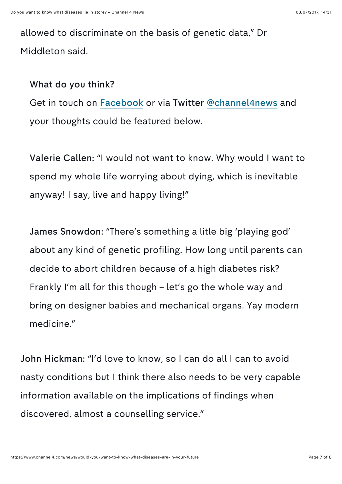allowed to discriminate on the basis of genetic data," <sup>D</sup><sup>r</sup> <sup>M</sup>iddleton said.

## <sup>W</sup>hat do you think?

<sup>G</sup>et in touch <sup>o</sup><sup>n</sup> <sup>F</sup>[acebook](http://www.facebook.com/Channel4News) or via <sup>T</sup>witter @[channel](https://twitter.com/#%21/channel4news)4news and your thoughts could be featured below.

<sup>V</sup>alerie <sup>C</sup>allen: "<sup>I</sup> would not want to know. <sup>W</sup>hy would <sup>I</sup> want to spend my whole life worrying about dying, which is inevitable anyway! <sup>I</sup> say, live and happy living!"

<sup>J</sup>ames <sup>S</sup>nowdon: "There'<sup>s</sup> something <sup>a</sup> litle big 'playing god' about any kind of genetic profiling. <sup>H</sup>ow long until parents can decide to abort children because of a high diabetes risk? <sup>F</sup>rankly <sup>I</sup>'<sup>m</sup> all for this though – let'<sup>s</sup> go the whole way and bring <sup>o</sup><sup>n</sup> designer babies and mechanical organs. <sup>Y</sup>ay modern medicine."

<sup>J</sup>ohn <sup>H</sup>ickman: "I'<sup>d</sup> love to know, so <sup>I</sup> can do all <sup>I</sup> can to avoid nasty conditions but <sup>I</sup> think there also needs to be very capable information available on the implications of findings when discovered, almost a counselling service."